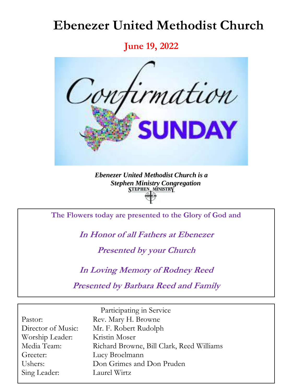# **Ebenezer United Methodist Church**

**June 19, 2022**



*Ebenezer United Methodist Church is a Stephen Ministry Congregation*

**The Flowers today are presented to the Glory of God and**

**In Honor of all Fathers at Ebenezer**

**Presented by your Church**

**In Loving Memory of Rodney Reed**

**Presented by Barbara Reed and Family**

|                    | Participating in Service                  |
|--------------------|-------------------------------------------|
| Pastor:            | Rev. Mary H. Browne                       |
| Director of Music: | Mr. F. Robert Rudolph                     |
| Worship Leader:    | Kristin Moser                             |
| Media Team:        | Richard Browne, Bill Clark, Reed Williams |
| Greeter:           | Lucy Broelmann                            |
| Ushers:            | Don Grimes and Don Pruden                 |
| Sing Leader:       | Laurel Wirtz                              |
|                    |                                           |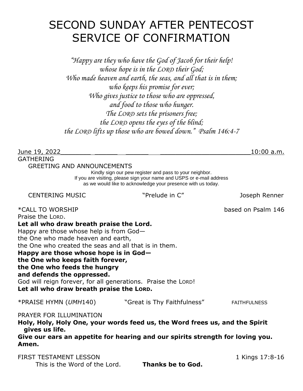## SECOND SUNDAY AFTER PENTECOST SERVICE OF CONFIRMATION

*"Happy are they who have the God of Jacob for their help! whose hope is in the LORD their God; Who made heaven and earth, the seas, and all that is in them; who keeps his promise for ever; Who gives justice to those who are oppressed, and food to those who hunger. The LORD sets the prisoners free; the LORD opens the eyes of the blind; the LORD lifts up those who are bowed down." Psalm 146:4-7*

June 19, 2022\_\_\_\_\_\_\_\_ \_\_\_\_\_\_ \_\_\_\_\_\_ \_\_\_\_\_\_\_\_\_\_\_\_\_\_\_\_\_\_\_\_\_\_\_\_10:00 a.m. GATHERING GREETING AND ANNOUNCEMENTS

Kindly sign our pew register and pass to your neighbor. If you are visiting, please sign your name and USPS or e-mail address as we would like to acknowledge your presence with us today.

CENTERING MUSIC "Prelude in C" Joseph Renner

\*CALL TO WORSHIP based on Psalm 146 Praise the LORD. **Let all who draw breath praise the Lord.** Happy are those whose help is from God the One who made heaven and earth, the One who created the seas and all that is in them. **Happy are those whose hope is in God the One who keeps faith forever, the One who feeds the hungry and defends the oppressed.** God will reign forever, for all generations. Praise the LORD! **Let all who draw breath praise the LORD.** \*PRAISE HYMN (*UMH*140) "Great is Thy Faithfulness" FAITHFULNESS

PRAYER FOR ILLUMINATION **Holy, Holy, Holy One, your words feed us, the Word frees us, and the Spirit gives us life.** 

**Give our ears an appetite for hearing and our spirits strength for loving you. Amen.**

FIRST TESTAMENT LESSON 1 Kings 17:8-16 This is the Word of the Lord. **Thanks be to God.**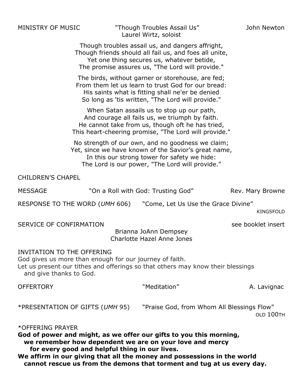MINISTRY OF MUSIC "Though Troubles Assail Us" John Newton Laurel Wirtz, soloist

Though troubles assail us, and dangers affright, Though friends should all fail us, and foes all unite, Yet one thing secures us, whatever betide, The promise assures us, "The Lord will provide."

The birds, without garner or storehouse, are fed; From them let us learn to trust God for our bread: His saints what is fitting shall ne'er be denied So long as 'tis written, "The Lord will provide."

When Satan assails us to stop up our path, And courage all fails us, we triumph by faith. He cannot take from us, though oft he has tried, This heart-cheering promise, "The Lord will provide."

No strength of our own, and no goodness we claim; Yet, since we have known of the Savior's great name, In this our strong tower for safety we hide: The Lord is our power, "The Lord will provide."

CHILDREN'S CHAPEL

| <b>MESSAGE</b> | "On a Roll with God: Trusting God" | Rev. Mary Browne |
|----------------|------------------------------------|------------------|
|                |                                    |                  |

RESPONSE TO THE WORD (*UMH* 606) "Come, Let Us Use the Grace Divine"

KINGSFOLD

SERVICE OF CONFIRMATION SEE booklet insert

Brianna JoAnn Dempsey Charlotte Hazel Anne Jones

#### INVITATION TO THE OFFERING

God gives us more than enough for our journey of faith. Let us present our tithes and offerings so that others may know their blessings and give thanks to God.

OFFERTORY Neditation" Neditation (A. Lavignac \*PRESENTATION OF GIFTS (*UMH* 95) "Praise God, from Whom All Blessings Flow" OLD 100TH \*OFFERING PRAYER **God of power and might, as we offer our gifts to you this morning,** 

 **we remember how dependent we are on your love and mercy for every good and helpful thing in our lives. We affirm in our giving that all the money and possessions in the world cannot rescue us from the demons that torment and tug at us every day.**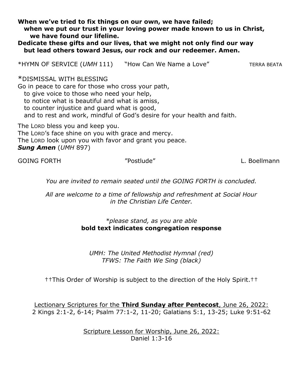**When we've tried to fix things on our own, we have failed; when we put our trust in your loving power made known to us in Christ, we have found our lifeline.** 

**Dedicate these gifts and our lives, that we might not only find our way but lead others toward Jesus, our rock and our redeemer. Amen.**

\*HYMN OF SERVICE (*UMH* 111) "How Can We Name a Love" TERRA BEATA

\*DISMISSAL WITH BLESSING

Go in peace to care for those who cross your path, to give voice to those who need your help, to notice what is beautiful and what is amiss, to counter injustice and guard what is good, and to rest and work, mindful of God's desire for your health and faith.

The LORD bless you and keep you. The LORD's face shine on you with grace and mercy. The LORD look upon you with favor and grant you peace. *Sung Amen* (*UMH* 897)

GOING FORTH **The CONSTRUCT WAS SERVED WATER** "Postlude" The Construction of the L. Boellmann

*You are invited to remain seated until the GOING FORTH is concluded.*

*All are welcome to a time of fellowship and refreshment at Social Hour in the Christian Life Center.* 

### *\*please stand, as you are able* **bold text indicates congregation response**

*UMH: The United Methodist Hymnal (red) TFWS: The Faith We Sing (black)*

††This Order of Worship is subject to the direction of the Holy Spirit.††

Lectionary Scriptures for the **Third Sunday after Pentecost**, June 26, 2022: 2 Kings 2:1-2, 6-14; Psalm 77:1-2, 11-20; Galatians 5:1, 13-25; Luke 9:51-62

> Scripture Lesson for Worship, June 26, 2022: Daniel 1:3-16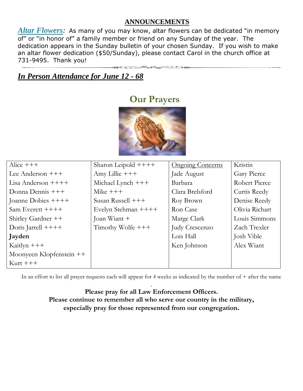### **ANNOUNCEMENTS**

Altar Flowers: As many of you may know, altar flowers can be dedicated "in memory of" or "in honor of" a family member or friend on any Sunday of the year. The dedication appears in the Sunday bulletin of your chosen Sunday. If you wish to make an altar flower dedication (\$50/Sunday), please contact Carol in the church office at 731-9495. Thank you!

### *In Person Attendance for June 12 - 68*

### **Our Prayers**



| Alice $+++$              | Sharon Leipold $++++$ | <b>Ongoing Concerns</b> | Kristin        |
|--------------------------|-----------------------|-------------------------|----------------|
| Lee Anderson $+++$       | Amy Lillie $+++$      | Jade August             | Gary Pierce    |
| Lisa Anderson $+++$      | Michael Lynch +++     | Barbara                 | Robert Pierce  |
| Donna Dennis $+++$       | Mike $+++$            | Clara Brelsford         | Curtis Reedy   |
| Joanne Dobies ++++       | Susan Russell $+++$   | Roy Brown               | Denise Reedy   |
| Sam Everett ++++         | Evelyn Stehman ++++   | Ron Case                | Olivia Richart |
| Shirley Gardner ++       | Joan Wiant +          | Marge Clark             | Louis Simmons  |
| Doris Jarrell $++++$     | Timothy Wolfe $+++$   | Judy Crescenzo          | Zach Trexler   |
| Jayden                   |                       | Lois Hall               | Josh Vible     |
| Kaitlyn $+++$            |                       | Ken Johnson             | Alex Wiant     |
| Moonyeen Klopfenstein ++ |                       |                         |                |
| $Kurt$ +++               |                       |                         |                |

In an effort to list all prayer requests each will appear for 4 weeks as indicated by the number of + after the name .

**Please pray for all Law Enforcement Officers. Please continue to remember all who serve our country in the military, especially pray for those represented from our congregation.**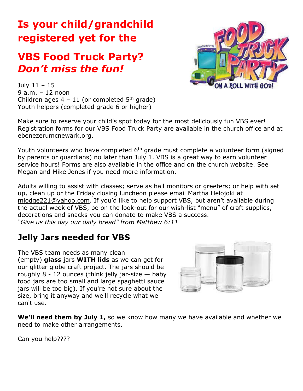# **Is your child/grandchild registered yet for the**

## **VBS Food Truck Party?** *Don't miss the fun!*



July 11 – 15 9 a.m. – 12 noon Children ages  $4 - 11$  (or completed  $5<sup>th</sup>$  grade) Youth helpers (completed grade 6 or higher)

Make sure to reserve your child's spot today for the most deliciously fun VBS ever! Registration forms for our VBS Food Truck Party are available in the church office and at ebenezerumcnewark.org.

Youth volunteers who have completed  $6<sup>th</sup>$  grade must complete a volunteer form (signed by parents or guardians) no later than July 1. VBS is a great way to earn volunteer service hours! Forms are also available in the office and on the church website. See Megan and Mike Jones if you need more information.

Adults willing to assist with classes; serve as hall monitors or greeters; or help with set up, clean up or the Friday closing luncheon please email Martha Helojoki at mlodge221@yahoo.com. If you'd like to help support VBS, but aren't available during the actual week of VBS, be on the look-out for our wish-list "menu" of craft supplies, decorations and snacks you can donate to make VBS a success. *"Give us this day our daily bread" from Matthew 6:11*

### **Jelly Jars needed for VBS**

The VBS team needs as many clean (empty) **glass** jars **WITH lids** as we can get for our glitter globe craft project. The jars should be roughly  $8 - 12$  ounces (think jelly jar-size  $-$  baby food jars are too small and large spaghetti sauce jars will be too big). If you're not sure about the size, bring it anyway and we'll recycle what we can't use.



**We'll need them by July 1,** so we know how many we have available and whether we need to make other arrangements.

Can you help????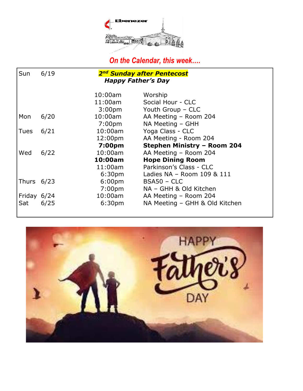

 *On the Calendar, this week….*

| Sun          | 2 <sup>nd</sup> Sunday after Pentecost<br>6/19 |                    |                                    |
|--------------|------------------------------------------------|--------------------|------------------------------------|
|              | <b>Happy Father's Day</b>                      |                    |                                    |
|              |                                                |                    |                                    |
|              |                                                | 10:00am            | Worship                            |
|              |                                                | 11:00am            | Social Hour - CLC                  |
|              |                                                | 3:00 <sub>pm</sub> | Youth Group - CLC                  |
| Mon          | 6/20                                           | $10:00$ am         | AA Meeting - Room 204              |
|              |                                                | 7:00 <sub>pm</sub> | NA Meeting - GHH                   |
| <b>Tues</b>  | 6/21                                           | $10:00$ am         | Yoga Class - CLC                   |
|              |                                                | 12:00pm            | AA Meeting - Room 204              |
|              |                                                | 7:00pm             | <b>Stephen Ministry - Room 204</b> |
| Wed          | 6/22                                           | $10:00$ am         | AA Meeting - Room 204              |
|              |                                                | 10:00am            | <b>Hope Dining Room</b>            |
|              |                                                | $11:00$ am         | Parkinson's Class - CLC            |
|              |                                                | 6:30 <sub>pm</sub> | Ladies NA - Room 109 & 111         |
| Thurs $6/23$ |                                                | 6:00 <sub>pm</sub> | $BSA50 - CLC$                      |
|              |                                                | 7:00 <sub>pm</sub> | NA - GHH & Old Kitchen             |
| Friday 6/24  |                                                | 10:00am            | AA Meeting - Room 204              |
| Sat          | 6/25                                           | 6:30 <sub>pm</sub> | NA Meeting – GHH & Old Kitchen     |
|              |                                                |                    |                                    |